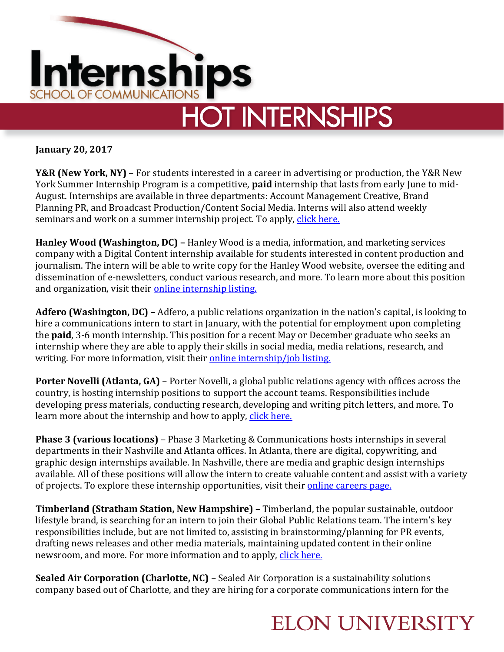

**January 20, 2017**

**Y&R (New York, NY)** – For students interested in a career in advertising or production, the Y&R New York Summer Internship Program is a competitive, **paid** internship that lasts from early June to mid-August. Internships are available in three departments: Account Management Creative, Brand Planning PR, and Broadcast Production/Content Social Media. Interns will also attend weekly seminars and work on a summer internship project. To apply, [click here.](https://careers-yr.icims.com/jobs/3003/summer-internship-2017/job?mobile=false&width=824&height=500&bga=true&needsRedirect=false&jan1offset=-300&jun1offset=-240)

**Hanley Wood (Washington, DC) –** Hanley Wood is a media, information, and marketing services company with a Digital Content internship available for students interested in content production and journalism. The intern will be able to write copy for the Hanley Wood website, oversee the editing and dissemination of e-newsletters, conduct various research, and more. To learn more about this position and organization, visit their [online internship listing.](https://careers-hanleywood.icims.com/jobs/3797/digital-content-intern/job?mode=job&iis=Job+Board+-+Indeed.com&iisn=Indeed.com&mobile=false&width=926&height=500&bga=true&needsRedirect=false&jan1offset=-300&jun1offset=-240)

**Adfero (Washington, DC) –** Adfero, a public relations organization in the nation's capital, is looking to hire a communications intern to start in January, with the potential for employment upon completing the **paid**, 3-6 month internship. This position for a recent May or December graduate who seeks an internship where they are able to apply their skills in social media, media relations, research, and writing. For more information, visit their [online internship/job listing.](https://adfero.com/careers/prcommunications-internaccount-coordinator-ft)

**Porter Novelli (Atlanta, GA)** – Porter Novelli, a global public relations agency with offices across the country, is hosting internship positions to support the account teams. Responsibilities include developing press materials, conducting research, developing and writing pitch letters, and more. To learn more about the internship and how to apply, [click here.](http://chm.tbe.taleo.net/chm03/ats/careers/requisition.jsp?org=PORTERNOVELLI&cws=1&rid=910&source=Indeed)

**Phase 3 (various locations)** – Phase 3 Marketing & Communications hosts internships in several departments in their Nashville and Atlanta offices. In Atlanta, there are digital, copywriting, and graphic design internships available. In Nashville, there are media and graphic design internships available. All of these positions will allow the intern to create valuable content and assist with a variety of projects. To explore these internship opportunities, visit their [online careers page.](http://www.phase3mc.com/careers/)

**Timberland (Stratham Station, New Hampshire) –** Timberland, the popular sustainable, outdoor lifestyle brand, is searching for an intern to join their Global Public Relations team. The intern's key responsibilities include, but are not limited to, assisting in brainstorming/planning for PR events, drafting news releases and other media materials, maintaining updated content in their online newsroom, and more. For more information and to apply, [click here.](https://vfc.wd5.myworkdayjobs.com/en-US/Timberland_USA_Careers/job/USCA--USA--New-Hampshire--Stratham-Domain-Dr-HQ---TBL/Intern--Public-Relations--Timberland-_R-20170106-0029)

**Sealed Air Corporation (Charlotte, NC)** – Sealed Air Corporation is a sustainability solutions company based out of Charlotte, and they are hiring for a corporate communications intern for the

## **ELON UNIVERSITY**